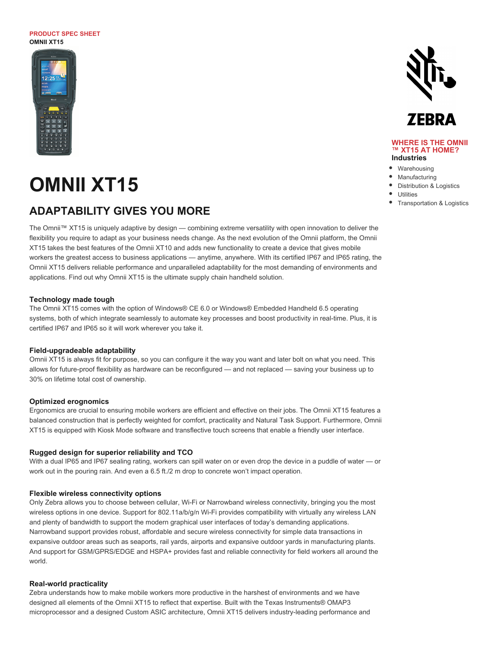#### **PRODUCT SPEC SHEET OMNII XT15**



# **OMNII XT15**

### **ADAPTABILITY GIVES YOU MORE**

The Omnii™ XT15 is uniquely adaptive by design — combining extreme versatility with open innovation to deliver the flexibility you require to adapt as your business needs change. As the next evolution of the Omnii platform, the Omnii XT15 takes the best features of the Omnii XT10 and adds new functionality to create a device that gives mobile workers the greatest access to business applications — anytime, anywhere. With its certified IP67 and IP65 rating, the Omnii XT15 delivers reliable performance and unparalleled adaptability for the most demanding of environments and applications. Find out why Omnii XT15 is the ultimate supply chain handheld solution.

#### **Technology made tough**

The Omnii XT15 comes with the option of Windows® CE 6.0 or Windows® Embedded Handheld 6.5 operating systems, both of which integrate seamlessly to automate key processes and boost productivity in real-time. Plus, it is certified IP67 and IP65 so it will work wherever you take it.

#### **Field-upgradeable adaptability**

Omnii XT15 is always fit for purpose, so you can configure it the way you want and later bolt on what you need. This allows for future-proof flexibility as hardware can be reconfigured — and not replaced — saving your business up to 30% on lifetime total cost of ownership.

#### **Optimized erognomics**

Ergonomics are crucial to ensuring mobile workers are efficient and effective on their jobs. The Omnii XT15 features a balanced construction that is perfectly weighted for comfort, practicality and Natural Task Support. Furthermore, Omnii XT15 is equipped with Kiosk Mode software and transflective touch screens that enable a friendly user interface.

#### **Rugged design for superior reliability and TCO**

With a dual IP65 and IP67 sealing rating, workers can spill water on or even drop the device in a puddle of water — or work out in the pouring rain. And even a 6.5 ft./2 m drop to concrete won't impact operation.

#### **Flexible wireless connectivity options**

Only Zebra allows you to choose between cellular, Wi-Fi or Narrowband wireless connectivity, bringing you the most wireless options in one device. Support for 802.11a/b/g/n Wi-Fi provides compatibility with virtually any wireless LAN and plenty of bandwidth to support the modern graphical user interfaces of today's demanding applications. Narrowband support provides robust, affordable and secure wireless connectivity for simple data transactions in expansive outdoor areas such as seaports, rail yards, airports and expansive outdoor yards in manufacturing plants. And support for GSM/GPRS/EDGE and HSPA+ provides fast and reliable connectivity for field workers all around the world.

#### **Real-world practicality**

Zebra understands how to make mobile workers more productive in the harshest of environments and we have designed all elements of the Omnii XT15 to reflect that expertise. Built with the Texas Instruments® OMAP3 microprocessor and a designed Custom ASIC architecture, Omnii XT15 delivers industry-leading performance and



#### **WHERE IS THE OMNII ™ XT15 AT HOME? Industries**

- Warehousing Manufacturing
- Distribution & Logistics
- - Utilities
	- Transportation & Logistics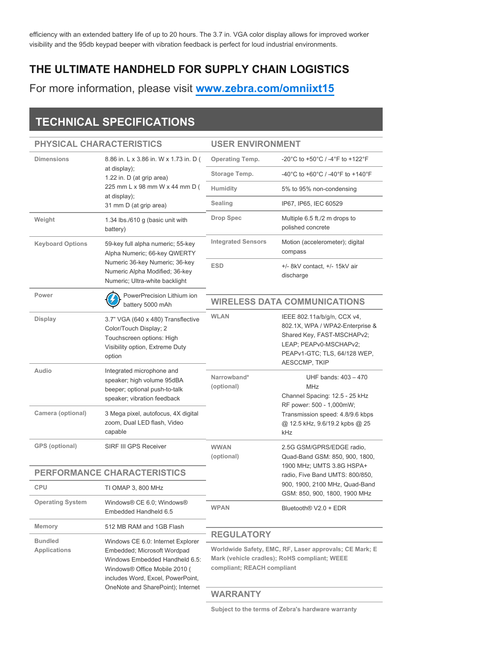efficiency with an extended battery life of up to 20 hours. The 3.7 in. VGA color display allows for improved worker visibility and the 95db keypad beeper with vibration feedback is perfect for loud industrial environments.

### **THE ULTIMATE HANDHELD FOR SUPPLY CHAIN LOGISTICS**

For more information, please visit **[www.zebra.com/omniixt15](http://www.zebra.com/omniixt15)**

## **TECHNICAL SPECIFICATIONS**

### **PHYSICAL CHARACTERISTICS**

#### **USER ENVIRONMENT**

| <b>Dimensions</b>                     | 8.86 in. L x 3.86 in. W x 1.73 in. D (<br>at display);<br>1.22 in. D (at grip area)<br>225 mm L x 98 mm W x 44 mm D (<br>at display);<br>31 mm D (at grip area)                                               | <b>Operating Temp.</b>                                                                                                                                    | -20°C to +50°C / -4°F to +122°F                                                                                                                                                      |
|---------------------------------------|---------------------------------------------------------------------------------------------------------------------------------------------------------------------------------------------------------------|-----------------------------------------------------------------------------------------------------------------------------------------------------------|--------------------------------------------------------------------------------------------------------------------------------------------------------------------------------------|
|                                       |                                                                                                                                                                                                               | Storage Temp.                                                                                                                                             | -40°C to +60°C / -40°F to +140°F                                                                                                                                                     |
|                                       |                                                                                                                                                                                                               | Humidity                                                                                                                                                  | 5% to 95% non-condensing                                                                                                                                                             |
|                                       |                                                                                                                                                                                                               | Sealing                                                                                                                                                   | IP67, IP65, IEC 60529                                                                                                                                                                |
| Weight                                | 1.34 lbs./610 g (basic unit with<br>battery)                                                                                                                                                                  | <b>Drop Spec</b>                                                                                                                                          | Multiple 6.5 ft./2 m drops to<br>polished concrete                                                                                                                                   |
| <b>Keyboard Options</b>               | 59-key full alpha numeric; 55-key<br>Alpha Numeric; 66-key QWERTY<br>Numeric 36-key Numeric; 36-key<br>Numeric Alpha Modified; 36-key<br>Numeric; Ultra-white backlight                                       | <b>Integrated Sensors</b>                                                                                                                                 | Motion (accelerometer); digital<br>compass                                                                                                                                           |
|                                       |                                                                                                                                                                                                               | <b>ESD</b>                                                                                                                                                | $+/-$ 8kV contact, $+/-$ 15kV air<br>discharge                                                                                                                                       |
| Power                                 | PowerPrecision Lithium ion<br>battery 5000 mAh                                                                                                                                                                | <b>WIRELESS DATA COMMUNICATIONS</b>                                                                                                                       |                                                                                                                                                                                      |
| Display                               | 3.7" VGA (640 x 480) Transflective<br>Color/Touch Display; 2<br>Touchscreen options: High<br>Visibility option, Extreme Duty<br>option                                                                        | <b>WLAN</b>                                                                                                                                               | IEEE 802.11a/b/g/n, CCX v4,<br>802.1X, WPA / WPA2-Enterprise &<br>Shared Key, FAST-MSCHAPv2;<br>LEAP; PEAPv0-MSCHAPv2;<br>PEAPv1-GTC; TLS, 64/128 WEP,<br><b>AESCCMP, TKIP</b>       |
| Audio                                 | Integrated microphone and<br>speaker; high volume 95dBA<br>beeper; optional push-to-talk<br>speaker; vibration feedback                                                                                       | Narrowband*<br>(optional)                                                                                                                                 | UHF bands: 403 - 470<br><b>MHz</b><br>Channel Spacing: 12.5 - 25 kHz<br>RF power: 500 - 1,000mW;<br>Transmission speed: 4.8/9.6 kbps<br>@ 12.5 kHz, 9.6/19.2 kpbs @ 25<br><b>kHz</b> |
| Camera (optional)                     | 3 Mega pixel, autofocus, 4X digital<br>zoom, Dual LED flash, Video<br>capable                                                                                                                                 |                                                                                                                                                           |                                                                                                                                                                                      |
| GPS (optional)                        | SIRF III GPS Receiver                                                                                                                                                                                         | <b>WWAN</b><br>(optional)                                                                                                                                 | 2.5G GSM/GPRS/EDGE radio,<br>Quad-Band GSM: 850, 900, 1800,                                                                                                                          |
| <b>PERFORMANCE CHARACTERISTICS</b>    |                                                                                                                                                                                                               |                                                                                                                                                           | 1900 MHz; UMTS 3.8G HSPA+<br>radio, Five Band UMTS: 800/850,                                                                                                                         |
| <b>CPU</b>                            | TI OMAP 3, 800 MHz                                                                                                                                                                                            | 900, 1900, 2100 MHz, Quad-Band<br>GSM: 850, 900, 1800, 1900 MHz                                                                                           |                                                                                                                                                                                      |
| <b>Operating System</b>               | Windows® CE 6.0; Windows®<br>Embedded Handheld 6.5                                                                                                                                                            | <b>WPAN</b>                                                                                                                                               | Bluetooth <sup>®</sup> V2.0 + EDR                                                                                                                                                    |
| Memory                                | 512 MB RAM and 1GB Flash                                                                                                                                                                                      |                                                                                                                                                           |                                                                                                                                                                                      |
| <b>Bundled</b><br><b>Applications</b> | Windows CE 6.0: Internet Explorer<br>Embedded; Microsoft Wordpad<br>Windows Embedded Handheld 6.5:<br>Windows® Office Mobile 2010 (<br>includes Word, Excel, PowerPoint,<br>OneNote and SharePoint); Internet | <b>REGULATORY</b><br>Worldwide Safety, EMC, RF, Laser approvals; CE Mark; E<br>Mark (vehicle cradles); RoHS compliant; WEEE<br>compliant; REACH compliant |                                                                                                                                                                                      |
|                                       |                                                                                                                                                                                                               | <b>WARRANTY</b>                                                                                                                                           |                                                                                                                                                                                      |

**Subject to the terms of Zebra's hardware warranty**